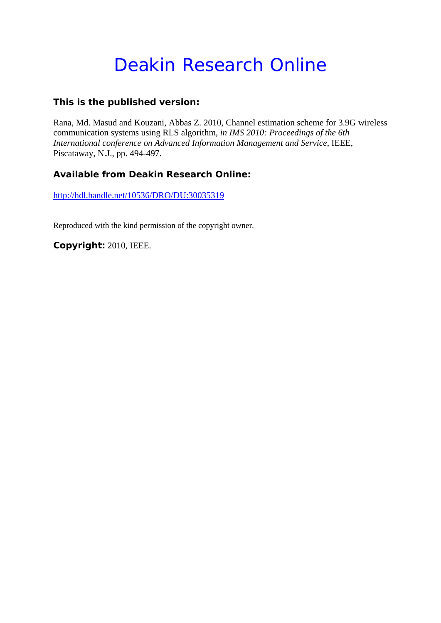# Deakin Research Online

### **This is the published version:**

Rana, Md. Masud and Kouzani, Abbas Z. 2010, Channel estimation scheme for 3.9G wireless communication systems using RLS algorithm*, in IMS 2010: Proceedings of the 6th International conference on Advanced Information Management and Service*, IEEE, Piscataway, N.J., pp. 494-497.

## **Available from Deakin Research Online:**

http://hdl.handle.net/10536/DRO/DU:30035319

Reproduced with the kind permission of the copyright owner.

**Copyright:** 2010, IEEE.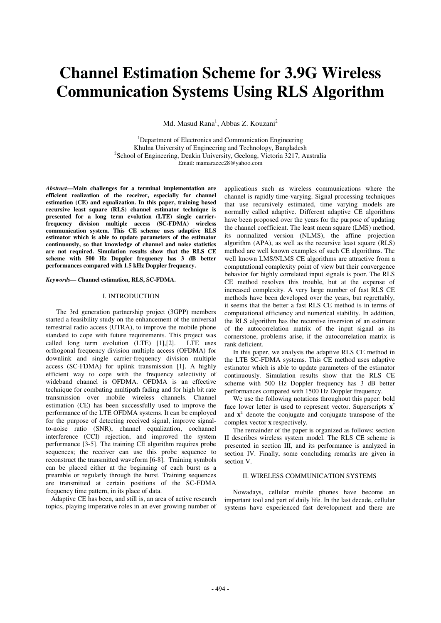## **Channel Estimation Scheme for 3.9G Wireless Communication Systems Using RLS Algorithm**

Md. Masud Rana<sup>1</sup>, Abbas Z. Kouzani<sup>2</sup>

<sup>1</sup>Department of Electronics and Communication Engineering Khulna University of Engineering and Technology, Bangladesh 2 <sup>2</sup>School of Engineering, Deakin University, Geelong, Victoria 3217, Australia Email: mamaraece28@yahoo.com

*Abstract—***Main challenges for a terminal implementation are efficient realization of the receiver, especially for channel estimation (CE) and equalization. In this paper, training based recursive least square (RLS) channel estimator technique is presented for a long term evolution (LTE) single carrierfrequency division multiple access (SC-FDMA) wireless communication system. This CE scheme uses adaptive RLS estimator which is able to update parameters of the estimator continuously, so that knowledge of channel and noise statistics are not required. Simulation results show that the RLS CE scheme with 500 Hz Doppler frequency has 3 dB better performances compared with 1.5 kHz Doppler frequency.** 

*Keywords— C***hannel estimation, RLS, SC-FDMA.** 

#### I. INTRODUCTION

 The 3rd generation partnership project (3GPP) members started a feasibility study on the enhancement of the universal terrestrial radio access (UTRA), to improve the mobile phone standard to cope with future requirements. This project was called long term evolution (LTE) [1],[2]. LTE uses called long term evolution  $(LTE)$  [1],[2]. orthogonal frequency division multiple access (OFDMA) for downlink and single carrier-frequency division multiple access (SC-FDMA) for uplink transmission [1]. A highly efficient way to cope with the frequency selectivity of wideband channel is OFDMA. OFDMA is an effective technique for combating multipath fading and for high bit rate transmission over mobile wireless channels. Channel estimation (CE) has been successfully used to improve the performance of the LTE OFDMA systems. It can be employed for the purpose of detecting received signal, improve signalto-noise ratio (SNR), channel equalization, cochannel interference (CCI) rejection, and improved the system performance [3-5]. The training CE algorithm requires probe sequences; the receiver can use this probe sequence to reconstruct the transmitted waveform [6-8]. Training symbols can be placed either at the beginning of each burst as a preamble or regularly through the burst. Training sequences are transmitted at certain positions of the SC-FDMA frequency time pattern, in its place of data.

 Adaptive CE has been, and still is, an area of active research topics, playing imperative roles in an ever growing number of

applications such as wireless communications where the channel is rapidly time-varying. Signal processing techniques that use recursively estimated, time varying models are normally called adaptive. Different adaptive CE algorithms have been proposed over the years for the purpose of updating the channel coefficient. The least mean square (LMS) method, its normalized version (NLMS), the affine projection algorithm  $(APA)$ , as well as the recursive least square  $(RLS)$ method are well known examples of such CE algorithms. The well known LMS/NLMS CE algorithms are attractive from a computational complexity point of view but their convergence behavior for highly correlated input signals is poor. The RLS CE method resolves this trouble, but at the expense of increased complexity. A very large number of fast RLS CE methods have been developed over the years, but regrettably, it seems that the better a fast RLS CE method is in terms of computational efficiency and numerical stability. In addition, the RLS algorithm has the recursive inversion of an estimate of the autocorrelation matrix of the input signal as its cornerstone, problems arise, if the autocorrelation matrix is rank deficient.

 In this paper, we analysis the adaptive RLS CE method in the LTE SC-FDMA systems. This CE method uses adaptive estimator which is able to update parameters of the estimator continuously. Simulation results show that the RLS CE scheme with 500 Hz Doppler frequency has 3 dB better performances compared with 1500 Hz Doppler frequency.

 We use the following notations throughout this paper: bold face lower letter is used to represent vector. Superscripts **x**\* and **x**<sup>T</sup> denote the conjugate and conjugate transpose of the complex vector **x** respectively.

 The remainder of the paper is organized as follows: section II describes wireless system model. The RLS CE scheme is presented in section III, and its performance is analyzed in section IV. Finally, some concluding remarks are given in section V.

#### II. WIRELESS COMMUNICATION SYSTEMS

 Nowadays, cellular mobile phones have become an important tool and part of daily life. In the last decade, cellular systems have experienced fast development and there are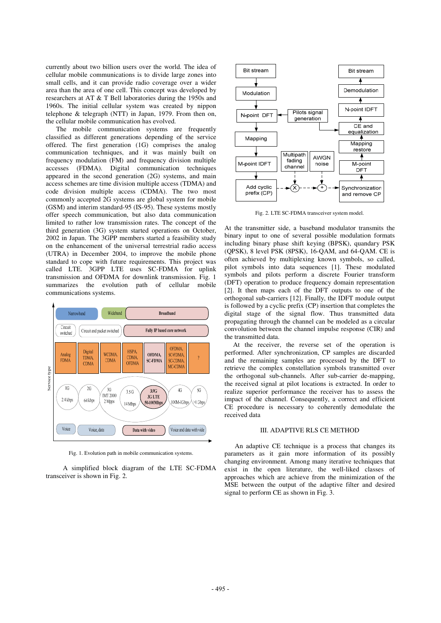currently about two billion users over the world. The idea of cellular mobile communications is to divide large zones into small cells, and it can provide radio coverage over a wider area than the area of one cell. This concept was developed by researchers at AT & T Bell laboratories during the 1950s and 1960s. The initial cellular system was created by nippon telephone & telegraph (NTT) in Japan, 1979. From then on, the cellular mobile communication has evolved.

 The mobile communication systems are frequently classified as different generations depending of the service offered. The first generation (1G) comprises the analog communication techniques, and it was mainly built on frequency modulation (FM) and frequency division multiple accesses (FDMA). Digital communication techniques appeared in the second generation (2G) systems, and main access schemes are time division multiple access (TDMA) and code division multiple access (CDMA). The two most commonly accepted 2G systems are global system for mobile (GSM) and interim standard-95 (IS-95). These systems mostly offer speech communication, but also data communication limited to rather low transmission rates. The concept of the third generation (3G) system started operations on October, 2002 in Japan. The 3GPP members started a feasibility study on the enhancement of the universal terrestrial radio access (UTRA) in December 2004, to improve the mobile phone standard to cope with future requirements. This project was called LTE. 3GPP LTE uses SC-FDMA for uplink transmission and OFDMA for downlink transmission. Fig. 1 summarizes the evolution path of cellular mobile communications systems.



Fig. 1. Evolution path in mobile communication systems.

 A simplified block diagram of the LTE SC-FDMA transceiver is shown in Fig. 2.



Fig. 2. LTE SC-FDMA transceiver system model.

At the transmitter side, a baseband modulator transmits the binary input to one of several possible modulation formats including binary phase shift keying (BPSK), quandary PSK (QPSK), 8 level PSK (8PSK), 16-QAM, and 64-QAM. CE is often achieved by multiplexing known symbols, so called, pilot symbols into data sequences [1]. These modulated symbols and pilots perform a discrete Fourier transform (DFT) operation to produce frequency domain representation [2]. It then maps each of the DFT outputs to one of the orthogonal sub-carriers [12]. Finally, the IDFT module output is followed by a cyclic prefix (CP) insertion that completes the digital stage of the signal flow. Thus transmitted data propagating through the channel can be modeled as a circular convolution between the channel impulse response (CIR) and the transmitted data.

 At the receiver, the reverse set of the operation is performed. After synchronization, CP samples are discarded and the remaining samples are processed by the DFT to retrieve the complex constellation symbols transmitted over the orthogonal sub-channels. After sub-carrier de-mapping, the received signal at pilot locations is extracted. In order to realize superior performance the receiver has to assess the impact of the channel. Consequently, a correct and efficient CE procedure is necessary to coherently demodulate the received data

#### III. ADAPTIVE RLS CE METHOD

 An adaptive CE technique is a process that changes its parameters as it gain more information of its possibly changing environment. Among many iterative techniques that exist in the open literature, the well-liked classes of approaches which are achieve from the minimization of the MSE between the output of the adaptive filter and desired signal to perform CE as shown in Fig. 3.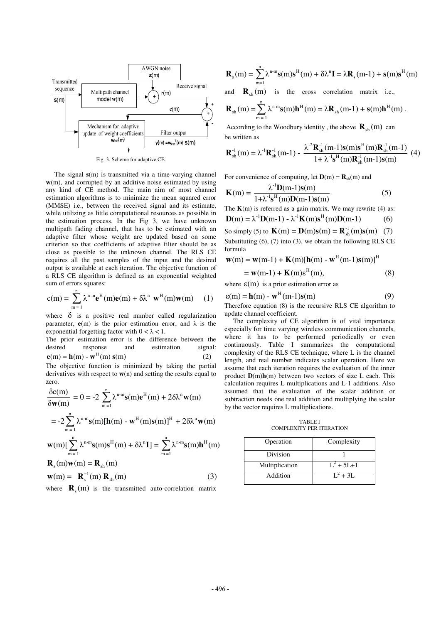

Fig. 3. Scheme for adaptive CE.

 The signal **s**(m) is transmitted via a time-varying channel **w**(m), and corrupted by an additive noise estimated by using any kind of CE method. The main aim of most channel estimation algorithms is to minimize the mean squared error (MMSE) i.e., between the received signal and its estimate, while utilizing as little computational resources as possible in the estimation process. In the Fig 3, we have unknown multipath fading channel, that has to be estimated with an adaptive filter whose weight are updated based on some criterion so that coefficients of adaptive filter should be as close as possible to the unknown channel. The RLS CE requires all the past samples of the input and the desired output is available at each iteration. The objective function of a RLS CE algorithm is defined as an exponential weighted sum of errors squares:

$$
c(m) = \sum_{m=1}^{n} \lambda^{n-m} \mathbf{e}^{H}(m) \mathbf{e}(m) + \delta \lambda^{n} \mathbf{w}^{H}(m) \mathbf{w}(m) \quad (1)
$$

where  $\delta$  is a positive real number called regularization parameter,  $e(m)$  is the prior estimation error, and  $\lambda$  is the exponential forgetting factor with  $0 < \lambda < 1$ .

The prior estimation error is the difference between the desired response and estimation signal:<br>  $\mathbf{e}(\mathbf{m}) = \mathbf{h}(\mathbf{m}) \cdot \mathbf{w}^{\mathrm{H}}(\mathbf{m}) \mathbf{s}(\mathbf{m})$  (2)

The objective function is minimized by taking the partial derivatives with respect to  $w(n)$  and setting the results equal to zero.

$$
\frac{\delta c(m)}{\delta w(m)} = 0 = -2 \sum_{m=1}^{n} \lambda^{n-m} s(m) e^{H}(m) + 2 \delta \lambda^{n} w(m)
$$
  
\n
$$
= -2 \sum_{m=1}^{n} \lambda^{n-m} s(m) [\mathbf{h}(m) - \mathbf{w}^{H}(m) s(m)]^{H} + 2 \delta \lambda^{n} \mathbf{w}(m)
$$
  
\n
$$
\mathbf{w}(m) [\sum_{m=1}^{n} \lambda^{n-m} s(m) s^{H}(m) + \delta \lambda^{n} \mathbf{I}] = \sum_{m=1}^{n} \lambda^{n-m} s(m) \mathbf{h}^{H}(m)
$$
  
\n
$$
\mathbf{R}_{s}(m) \mathbf{w}(m) = \mathbf{R}_{sh}(m)
$$
  
\n
$$
\mathbf{w}(m) = \mathbf{R}_{s}^{-1}(m) \mathbf{R}_{sh}(m)
$$
 (3)

where  $\mathbf{R}_{s}(m)$  is the transmitted auto-correlation matrix

$$
\mathbf{R}_{s}(m) = \sum_{m=1}^{n} \lambda^{n-m} \mathbf{s}(m) \mathbf{s}^{H}(m) + \delta \lambda^{n} \mathbf{I} = \lambda \mathbf{R}_{s}(m-1) + \mathbf{s}(m) \mathbf{s}^{H}(m)
$$

and  $\mathbf{R}_{\text{sh}}(m)$  is the cross correlation matrix i.e.,

$$
\boldsymbol{R}_{\text{sh}}\left(m\right)=\sum_{m=1}^{n}\lambda^{n\text{-}m}\boldsymbol{s}(m)\boldsymbol{h}^{H}\left(m\right)=\lambda\boldsymbol{R}_{\text{sh}}\left(m\text{-}1\right)+\boldsymbol{s}(m)\boldsymbol{h}^{H}\left(m\right)\,.
$$

According to the Woodbury identity, the above  $\mathbf{R}_{\text{ab}}(m)$  can be written as

$$
\mathbf{R}_{sh}^{^{-1}}(m) = \lambda^{^{11}} \mathbf{R}_{sh}^{^{-1}}(m-1) - \frac{\lambda^{^{22}} \mathbf{R}_{sh}^{^{11}}(m-1)\mathbf{s}(m)\mathbf{s}^{H}(m)\mathbf{R}_{sh}^{^{11}}(m-1)}{1 + \lambda^{^{11}} \mathbf{s}^{H}(m)\mathbf{R}_{sh}^{^{11}}(m-1)\mathbf{s}(m)} \tag{4}
$$

For convenience of computing, let  $\mathbf{D}(m) = \mathbf{R}_{sh}(m)$  and

$$
\mathbf{K}(m) = \frac{\lambda^{-1} \mathbf{D}(m-1)\mathbf{s}(m)}{1 + \lambda^{-1} \mathbf{s}^{H}(m)\mathbf{D}(m-1)\mathbf{s}(m)}
$$
(5)

The  $K(m)$  is referred as a gain matrix. We may rewrite (4) as:  ${\bf D}({\bf m}) = \lambda^{-1} {\bf D}({\bf m} - 1) - \lambda^{-1} {\bf K}({\bf m}) {\bf s}^{\rm H}({\bf m}) {\bf D}({\bf m} - 1)$  (6)

$$
\mathbf{D}(\mathbf{m}) = \mathcal{N} \quad \mathbf{D}(\mathbf{m-1}) = \mathcal{N} \quad \mathbf{N}(\mathbf{m}) \mathbf{S} \quad (\mathbf{m}) \mathbf{D}(\mathbf{m-1}) \tag{0}
$$

So simply (5) to  $K(m) = D(m)s(m) = R_{sh}^{-1}(m)s(m)$  (7) Substituting (6), (7) into (3), we obtain the following RLS CE formula

$$
\mathbf{w}(m) = \mathbf{w}(m-1) + \mathbf{K}(m)[\mathbf{h}(m) - \mathbf{w}^H(m-1)\mathbf{s}(m)]^H
$$
  
=  $\mathbf{w}(m-1) + \mathbf{K}(m)\mathbf{s}^H(m),$  (8)

where 
$$
\varepsilon(m)
$$
 is a prior estimation error as

$$
\varepsilon(m) = \mathbf{h}(m) - \mathbf{w}^H(m-1)\mathbf{s}(m) \tag{9}
$$

Therefore equation (8) is the recursive RLS CE algorithm to update channel coefficient.

 The complexity of CE algorithm is of vital importance especially for time varying wireless communication channels, where it has to be performed periodically or even continuously. Table I summarizes the computational complexity of the RLS CE technique, where L is the channel length, and real number indicates scalar operation. Here we assume that each iteration requires the evaluation of the inner product **D**(m)**h**(m) between two vectors of size L each. This calculation requires L multiplications and L-1 additions. Also assumed that the evaluation of the scalar addition or subtraction needs one real addition and multiplying the scalar by the vector requires L multiplications.

TABLE I COMPLEXITY PER ITERATION

| Operation      | Complexity   |
|----------------|--------------|
|                |              |
| Division       |              |
| Multiplication | $L^2$ + 5L+1 |
| Addition       | $L^2 + 3L$   |
|                |              |